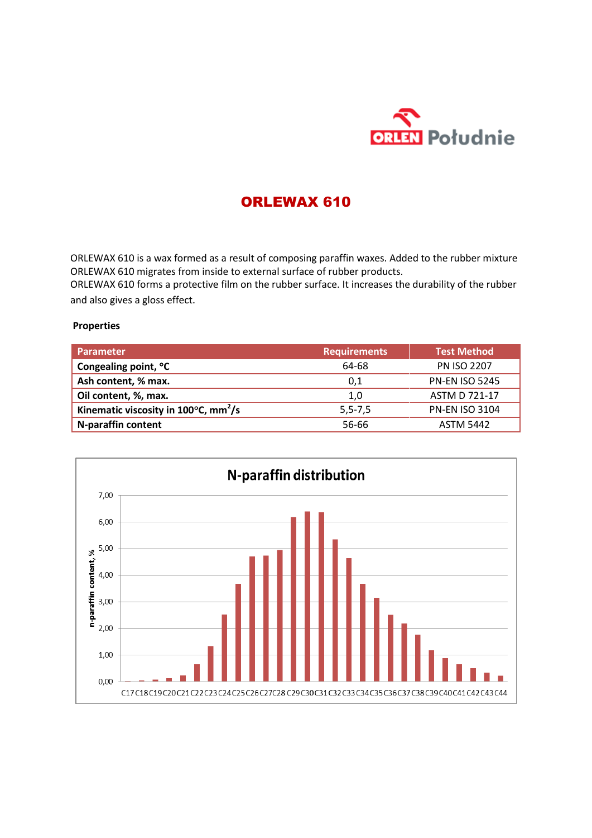

## ORLEWAX 610

ORLEWAX 610 is a wax formed as a result of composing paraffin waxes. Added to the rubber mixture ORLEWAX 610 migrates from inside to external surface of rubber products.

ORLEWAX 610 forms a protective film on the rubber surface. It increases the durability of the rubber and also gives a gloss effect.

## **Properties**

| <b>Parameter</b>                                           | <b>Requirements</b> | <b>Test Method</b>    |
|------------------------------------------------------------|---------------------|-----------------------|
| Congealing point, °C                                       | 64-68               | <b>PN ISO 2207</b>    |
| Ash content, % max.                                        | 0,1                 | <b>PN-EN ISO 5245</b> |
| Oil content, %, max.                                       | 1,0                 | <b>ASTM D 721-17</b>  |
| Kinematic viscosity in 100 $\degree$ C, mm <sup>2</sup> /s | $5, 5 - 7, 5$       | <b>PN-EN ISO 3104</b> |
| N-paraffin content                                         | 56-66               | <b>ASTM 5442</b>      |